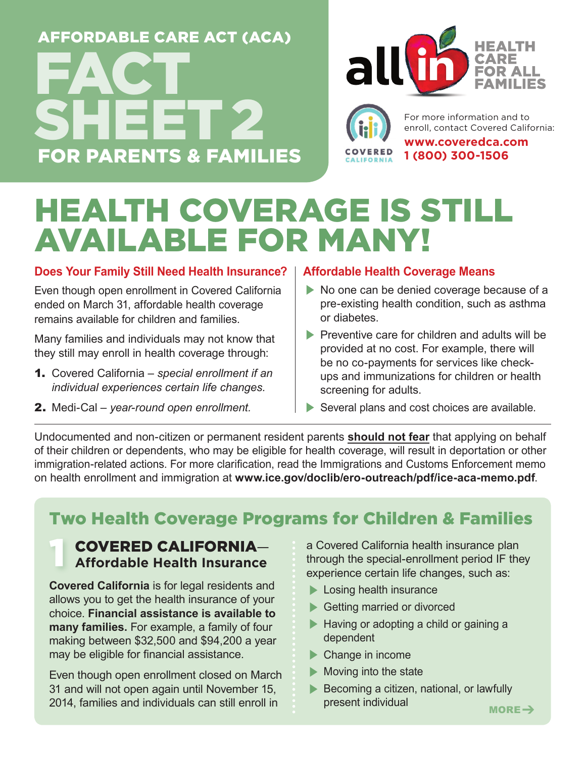## FOR PARENTS & FAMILIES AFFORDABLE CARE ACT (ACA) **FACT** SHEET 2



For more information and to enroll, contact Covered California:

**www.coveredca.com 1 (800) 300-1506** 

## HEALTH COVERAGE IS STILL AVAILABLE FOR MANY!

#### **Does Your Family Still Need Health Insurance?**

Even though open enrollment in Covered California ended on March 31, affordable health coverage remains available for children and families.

Many families and individuals may not know that they still may enroll in health coverage through:

- 1. Covered California *special enrollment if an individual experiences certain life changes.*
- 2. Medi-Cal *year-round open enrollment.*

#### **Affordable Health Coverage Means**

- No one can be denied coverage because of a pre-existing health condition, such as asthma or diabetes.
- $\blacktriangleright$  Preventive care for children and adults will be provided at no cost. For example, there will be no co-payments for services like checkups and immunizations for children or health screening for adults.
- $\blacktriangleright$  Several plans and cost choices are available.

Undocumented and non-citizen or permanent resident parents **should not fear** that applying on behalf of their children or dependents, who may be eligible for health coverage, will result in deportation or other immigration-related actions. For more clarification, read the Immigrations and Customs Enforcement memo on health enrollment and immigration at **www.ice.gov/doclib/ero-outreach/pdf/ice-aca-memo.pdf**.

### Two Health Coverage Programs for Children & Families

#### COVERED CALIFORNIA— **Affordable Health Insurance** 1

**Covered California** is for legal residents and allows you to get the health insurance of your choice. **Financial assistance is available to many families.** For example, a family of four making between \$32,500 and \$94,200 a year may be eligible for financial assistance.

Even though open enrollment closed on March 31 and will not open again until November 15, 2014, families and individuals can still enroll in

a Covered California health insurance plan through the special-enrollment period IF they experience certain life changes, such as:

- $\blacktriangleright$  Losing health insurance
- **Example 3 Getting married or divorced**
- **EXECUTE:** Having or adopting a child or gaining a dependent
- $\blacktriangleright$  Change in income
- $\blacktriangleright$  Moving into the state
- $\blacktriangleright$  Becoming a citizen, national, or lawfully present individual